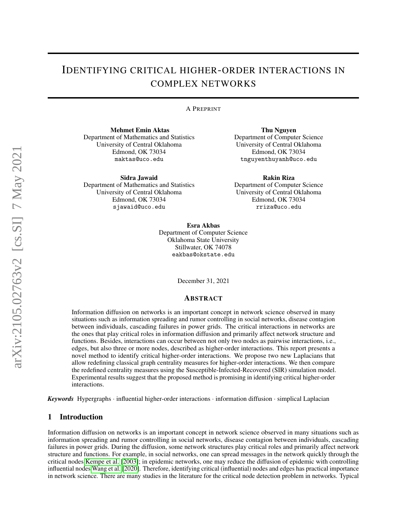# IDENTIFYING CRITICAL HIGHER-ORDER INTERACTIONS IN COMPLEX NETWORKS

#### A PREPRINT

Mehmet Emin Aktas Department of Mathematics and Statistics University of Central Oklahoma Edmond, OK 73034 maktas@uco.edu

Sidra Jawaid

Department of Mathematics and Statistics University of Central Oklahoma Edmond, OK 73034 sjawaid@uco.edu

Thu Nguyen Department of Computer Science University of Central Oklahoma Edmond, OK 73034 tnguyenthuyanh@uco.edu

Rakin Riza Department of Computer Science University of Central Oklahoma Edmond, OK 73034 rriza@uco.edu

Esra Akbas Department of Computer Science Oklahoma State University Stillwater, OK 74078 eakbas@okstate.edu

December 31, 2021

#### ABSTRACT

Information diffusion on networks is an important concept in network science observed in many situations such as information spreading and rumor controlling in social networks, disease contagion between individuals, cascading failures in power grids. The critical interactions in networks are the ones that play critical roles in information diffusion and primarily affect network structure and functions. Besides, interactions can occur between not only two nodes as pairwise interactions, i.e., edges, but also three or more nodes, described as higher-order interactions. This report presents a novel method to identify critical higher-order interactions. We propose two new Laplacians that allow redefining classical graph centrality measures for higher-order interactions. We then compare the redefined centrality measures using the Susceptible-Infected-Recovered (SIR) simulation model. Experimental results suggest that the proposed method is promising in identifying critical higher-order interactions.

*Keywords* Hypergraphs · influential higher-order interactions · information diffusion · simplical Laplacian

# 1 Introduction

Information diffusion on networks is an important concept in network science observed in many situations such as information spreading and rumor controlling in social networks, disease contagion between individuals, cascading failures in power grids. During the diffusion, some network structures play critical roles and primarily affect network structure and functions. For example, in social networks, one can spread messages in the network quickly through the critical nodes [Kempe et al.](#page-8-0) [\[2003\]](#page-8-0); in epidemic networks, one may reduce the diffusion of epidemic with controlling influential nodes [Wang et al.](#page-8-1) [\[2020\]](#page-8-1). Therefore, identifying critical (influential) nodes and edges has practical importance in network science. There are many studies in the literature for the critical node detection problem in networks. Typical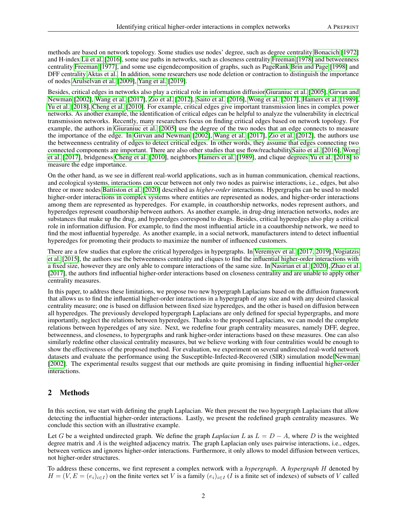methods are based on network topology. Some studies use nodes' degree, such as degree centrality [Bonacich](#page-8-2) [\[1972\]](#page-8-2) and H-index [Lü et al.](#page-8-3) [\[2016\]](#page-8-3), some use paths in networks, such as closeness centrality [Freeman](#page-8-4) [\[1978\]](#page-8-4) and betweenness centrality [Freeman](#page-8-5) [\[1977\]](#page-8-5), and some use eigendecomposition of graphs, such as PageRank [Brin and Page](#page-8-6) [\[1998\]](#page-8-6) and DFF centrality [Aktas et al..](#page-8-7) In addition, some researchers use node deletion or contraction to distinguish the importance of nodes [Arulselvan et al.](#page-8-8) [\[2009\]](#page-8-8), [Yang et al.](#page-8-9) [\[2019\]](#page-8-9).

Besides, critical edges in networks also play a critical role in information diffusio[nGiuraniuc et al.](#page-8-10) [\[2005\]](#page-8-10), [Girvan and](#page-8-11) [Newman](#page-8-11) [\[2002\]](#page-8-11), [Wang et al.](#page-8-12) [\[2017\]](#page-8-12), [Zio et al.](#page-8-13) [\[2012\]](#page-8-13), [Saito et al.](#page-8-14) [\[2016\]](#page-8-14), [Wong et al.](#page-8-15) [\[2017\]](#page-8-15), [Hamers et al.](#page-8-16) [\[1989\]](#page-8-16), [Yu et al.](#page-8-17) [\[2018\]](#page-8-17), [Cheng et al.](#page-8-18) [\[2010\]](#page-8-18). For example, critical edges give important transmission lines in complex power networks. As another example, the identification of critical edges can be helpful to analyze the vulnerability in electrical transmission networks. Recently, many researchers focus on finding critical edges based on network topology. For example, the authors in [Giuraniuc et al.](#page-8-10) [\[2005\]](#page-8-10) use the degree of the two nodes that an edge connects to measure the importance of the edge. In [Girvan and Newman](#page-8-11) [\[2002\]](#page-8-11), [Wang et al.](#page-8-12) [\[2017\]](#page-8-12), [Zio et al.](#page-8-13) [\[2012\]](#page-8-13), the authors use the betweenness centrality of edges to detect critical edges. In other words, they assume that edges connecting two connected components are important. There are also other studies that use flow/reachabilit[ySaito et al.](#page-8-14) [\[2016\]](#page-8-14), [Wong](#page-8-15) [et al.](#page-8-15) [\[2017\]](#page-8-15), bridgeness [Cheng et al.](#page-8-18) [\[2010\]](#page-8-18), neighbors [Hamers et al.](#page-8-16) [\[1989\]](#page-8-16), and clique degrees [Yu et al.](#page-8-17) [\[2018\]](#page-8-17) to measure the edge importance.

On the other hand, as we see in different real-world applications, such as in human communication, chemical reactions, and ecological systems, interactions can occur between not only two nodes as pairwise interactions, i.e., edges, but also three or more nodes [Battiston et al.](#page-8-19) [\[2020\]](#page-8-19) described as *higher-order* interactions. Hypergraphs can be used to model higher-order interactions in complex systems where entities are represented as nodes, and higher-order interactions among them are represented as hyperedges. For example, in coauthorship networks, nodes represent authors, and hyperedges represent coauthorship between authors. As another example, in drug-drug interaction networks, nodes are substances that make up the drug, and hyperedges correspond to drugs. Besides, critical hyperedges also play a critical role in information diffusion. For example, to find the most influential article in a coauthorship network, we need to find the most influential hyperedge. As another example, in a social network, manufacturers intend to detect influential hyperedges for promoting their products to maximize the number of influenced customers.

There are a few studies that explore the critical hyperedges in hypergraphs. In [Veremyev et al.](#page-8-20) [\[2017,](#page-8-20) [2019\]](#page-9-0), [Vogiatzis](#page-9-1) [et al.](#page-9-1) [\[2015\]](#page-9-1), the authors use the betweenness centrality and cliques to find the influential higher-order interactions with a fixed size, however they are only able to compare interactions of the same size. In [Nasirian et al.](#page-9-2) [\[2020\]](#page-9-2), [Zhao et al.](#page-9-3) [\[2017\]](#page-9-3), the authors find influential higher-order interactions based on closeness centrality and are unable to apply other centrality measures.

In this paper, to address these limitations, we propose two new hypergraph Laplacians based on the diffusion framework that allows us to find the influential higher-order interactions in a hypergraph of any size and with any desired classical centrality measure; one is based on diffusion between fixed size hyperedges, and the other is based on diffusion between all hyperedges. The previously developed hypergraph Laplacians are only defined for special hypergraphs, and more importantly, neglect the relations between hyperedges. Thanks to the proposed Laplacians, we can model the complete relations between hyperedges of any size. Next, we redefine four graph centrality measures, namely DFF, degree, betweenness, and closeness, to hypergraphs and rank higher-order interactions based on these measures. One can also similarly redefine other classical centrality measures, but we believe working with four centralities would be enough to show the effectiveness of the proposed method. For evaluation, we experiment on several undirected real-world network datasets and evaluate the performance using the Susceptible-Infected-Recovered (SIR) simulation mode[lNewman](#page-9-4) [\[2002\]](#page-9-4). The experimental results suggest that our methods are quite promising in finding influential higher-order interactions.

## 2 Methods

In this section, we start with defining the graph Laplacian. We then present the two hypergraph Laplacians that allow detecting the influential higher-order interactions. Lastly, we present the redefined graph centrality measures. We conclude this section with an illustrative example.

Let G be a weighted undirected graph. We define the graph *Laplacian* L as  $L = D - A$ , where D is the weighted degree matrix and  $\vec{A}$  is the weighted adjacency matrix. The graph Laplacian only uses pairwise interactions, i.e., edges, between vertices and ignores higher-order interactions. Furthermore, it only allows to model diffusion between vertices, not higher-order structures.

To address these concerns, we first represent a complex network with a *hypergraph*. A *hypergraph* H denoted by  $H = (V, E = (e_i)_{i \in I})$  on the finite vertex set V is a family  $(e_i)_{i \in I}$  (I is a finite set of indexes) of subsets of V called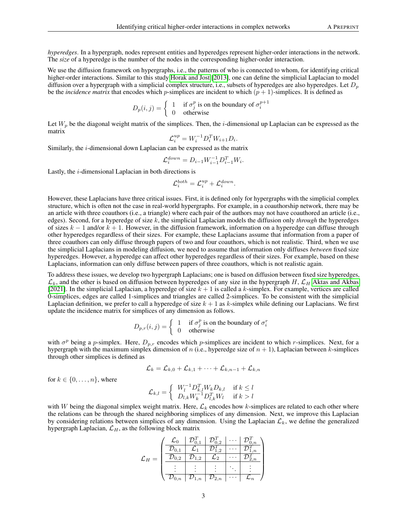*hyperedges*. In a hypergraph, nodes represent entities and hyperedges represent higher-order interactions in the network. The *size* of a hyperedge is the number of the nodes in the corresponding higher-order interaction.

We use the diffusion framework on hypergraphs, i.e., the patterns of who is connected to whom, for identifying critical higher-order interactions. Similar to this study [Horak and Jost](#page-9-5) [\[2013\]](#page-9-5), one can define the simplicial Laplacian to model diffusion over a hypergraph with a simplicial complex structure, i.e., subsets of hyperedges are also hyperedges. Let  $D_n$ be the *incidence matrix* that encodes which p-simplices are incident to which  $(p + 1)$ -simplices. It is defined as

$$
D_p(i,j) = \begin{cases} 1 & \text{if } \sigma_j^p \text{ is on the boundary of } \sigma_i^{p+1} \\ 0 & \text{otherwise} \end{cases}
$$

Let  $W_p$  be the diagonal weight matrix of the simplices. Then, the *i*-dimensional up Laplacian can be expressed as the matrix

$$
\mathcal{L}_i^{up} = W_i^{-1} D_i^T W_{i+1} D_i.
$$

Similarly, the i-dimensional down Laplacian can be expressed as the matrix

$$
\mathcal{L}_i^{down} = D_{i-1} W_{i-1}^{-1} D_{i-1}^T W_i.
$$

Lastly, the i-dimensional Laplacian in both directions is

$$
\mathcal{L}^{both}_i = \mathcal{L}^{up}_i + \mathcal{L}^{down}_i.
$$

However, these Laplacians have three critical issues. First, it is defined only for hypergraphs with the simplicial complex structure, which is often not the case in real-world hypergraphs. For example, in a coauthorship network, there may be an article with three coauthors (i.e., a triangle) where each pair of the authors may not have coauthored an article (i.e., edges). Second, for a hyperedge of size k, the simplicial Laplacian models the diffusion only *through* the hyperedges of sizes  $k - 1$  and/or  $k + 1$ . However, in the diffusion framework, information on a hyperedge can diffuse through other hyperedges regardless of their sizes. For example, these Laplacians assume that information from a paper of three coauthors can only diffuse through papers of two and four coauthors, which is not realistic. Third, when we use the simplicial Laplacians in modeling diffusion, we need to assume that information only diffuses *between* fixed size hyperedges. However, a hyperedge can affect other hyperedges regardless of their sizes. For example, based on these Laplacians, information can only diffuse between papers of three coauthors, which is not realistic again.

To address these issues, we develop two hypergraph Laplacians; one is based on diffusion between fixed size hyperedges,  $\mathcal{L}_k$ , and the other is based on diffusion between hyperedges of any size in the hypergraph H,  $\mathcal{L}_H$  [Aktas and Akbas](#page-9-6) [\[2021\]](#page-9-6). In the simplicial Laplacian, a hyperedge of size  $k + 1$  is called a k-simplex. For example, vertices are called 0-simplices, edges are called 1-simplices and triangles are called 2-simplices. To be consistent with the simplicial Laplacian definition, we prefer to call a hyperedge of size  $k + 1$  as k-simplex while defining our Laplacians. We first update the incidence matrix for simplices of any dimension as follows.

$$
D_{p,r}(i,j) = \begin{cases} 1 & \text{if } \sigma_j^p \text{ is on the boundary of } \sigma_i^r \\ 0 & \text{otherwise} \end{cases}
$$

with  $\sigma^p$  being a p-simplex. Here,  $D_{p,r}$  encodes which p-simplices are incident to which r-simplices. Next, for a hypergraph with the maximum simplex dimension of n (i.e., hyperedge size of  $n + 1$ ), Laplacian between k-simplices through other simplices is defined as

$$
\mathcal{L}_k = \mathcal{L}_{k,0} + \mathcal{L}_{k,1} + \cdots + \mathcal{L}_{k,n-1} + \mathcal{L}_{k,n}
$$

for  $k \in \{0, \ldots, n\}$ , where

$$
\mathcal{L}_{k,l} = \left\{ \begin{array}{ll} W_l^{-1} D_{k,l}^T W_k D_{k,l} & \text{if } k \leq l \\ D_{l,k} W_k^{-1} D_{l,k}^T W_l & \text{if } k > l \end{array} \right.
$$

with W being the diagonal simplex weight matrix. Here,  $\mathcal{L}_k$  encodes how k-simplices are related to each other where the relations can be through the shared neighboring simplices of any dimension. Next, we improve this Laplacian by considering relations between simplices of any dimension. Using the Laplacian  $\mathcal{L}_k$ , we define the generalized hypergraph Laplacian,  $\mathcal{L}_H$ , as the following block matrix

$$
\mathcal{L}_H = \begin{pmatrix} \begin{array}{c|c|c} \mathcal{L}_0 & \mathcal{D}_{0,1}^T & \mathcal{D}_{0,2}^T & \cdots & \mathcal{D}_{0,n}^T \\ \hline \mathcal{D}_{0,1} & \mathcal{L}_1 & \mathcal{D}_{1,2}^T & \cdots & \mathcal{D}_{1,n}^T \\ \hline \mathcal{D}_{0,2} & \mathcal{D}_{1,2} & \mathcal{L}_2 & \cdots & \mathcal{D}_{2,n}^T \\ \hline \vdots & \vdots & \vdots & \ddots & \vdots \\ \hline \mathcal{D}_{0,n} & \mathcal{D}_{1,n} & \mathcal{D}_{2,n} & \cdots & \mathcal{L}_n \end{array} \end{pmatrix}
$$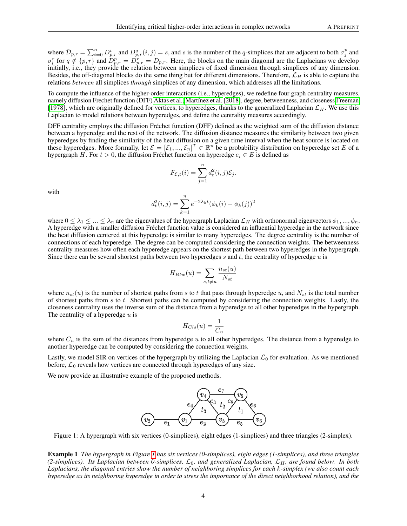where  $\mathcal{D}_{p,r} = \sum_{i=0}^n D_{p,r}^i$  and  $D_{p,r}^q(i,j) = s$ , and s is the number of the q-simplices that are adjacent to both  $\sigma_j^p$  and  $\sigma_i^r$  for  $q \notin \{p, r\}$  and  $\tilde{D}_{p,r}^p = \tilde{D}_{p,r}^r = D_{p,r}$ . Here, the blocks on the main diagonal are the Laplacians we develop initially, i.e., they provide the relation between simplices of fixed dimension through simplices of any dimension. Besides, the off-diagonal blocks do the same thing but for different dimensions. Therefore,  $\mathcal{L}_H$  is able to capture the relations *between* all simplices *through* simplices of any dimension, which addresses all the limitations.

To compute the influence of the higher-order interactions (i.e., hyperedges), we redefine four graph centrality measures, namely diffusion Frechet function (DFF) [Aktas et al.,](#page-8-7) [Martínez et al.](#page-9-7) [\[2018\]](#page-9-7), degree, betweenness, and closeness [Freeman](#page-8-4) [\[1978\]](#page-8-4), which are originally defined for vertices, to hyperedges, thanks to the generalized Laplacian  $\mathcal{L}_H$ . We use this Laplacian to model relations between hyperedges, and define the centrality measures accordingly.

DFF centrality employs the diffusion Fréchet function (DFF) defined as the weighted sum of the diffusion distance between a hyperedge and the rest of the network. The diffusion distance measures the similarity between two given hyperedges by finding the similarity of the heat diffusion on a given time interval when the heat source is located on these hyperedges. More formally, let  $\mathcal{E} = [\mathcal{E}_1, ..., \mathcal{E}_n]^T \in \mathbb{R}^n$  be a probability distribution on hyperedge set E of a hypergraph H. For  $t > 0$ , the diffusion Fréchet function on hyperedge  $e_i \in E$  is defined as

$$
F_{\mathcal{E},t}(i) = \sum_{j=1}^{n} d_t^2(i,j) \mathcal{E}_j.
$$

with

$$
d_t^2(i,j) = \sum_{k=1}^n e^{-2\lambda_k t} (\phi_k(i) - \phi_k(j))^2
$$

where  $0 \leq \lambda_1 \leq \ldots \leq \lambda_n$  are the eigenvalues of the hypergraph Laplacian  $\mathcal{L}_H$  with orthonormal eigenvectors  $\phi_1, \ldots, \phi_n$ . A hyperedge with a smaller diffusion Fréchet function value is considered an influential hyperedge in the network since the heat diffusion centered at this hyperedge is similar to many hyperedges. The degree centrality is the number of connections of each hyperedge. The degree can be computed considering the connection weights. The betweenness centrality measures how often each hyperedge appears on the shortest path between two hyperedges in the hypergraph. Since there can be several shortest paths between two hyperedges  $s$  and  $t$ , the centrality of hyperedge  $u$  is

$$
H_{Btw}(u) = \sum_{s,t \neq u} \frac{n_{st}(u)}{N_{st}}
$$

where  $n_{st}(u)$  is the number of shortest paths from s to t that pass through hyperedge u, and  $N_{st}$  is the total number of shortest paths from  $s$  to  $t$ . Shortest paths can be computed by considering the connection weights. Lastly, the closeness centrality uses the inverse sum of the distance from a hyperedge to all other hyperedges in the hypergraph. The centrality of a hyperedge  $u$  is

$$
H_{Cls}(u) = \frac{1}{C_u}
$$

where  $C_u$  is the sum of the distances from hyperedge u to all other hyperedges. The distance from a hyperedge to another hyperedge can be computed by considering the connection weights.

Lastly, we model SIR on vertices of the hypergraph by utilizing the Laplacian  $\mathcal{L}_0$  for evaluation. As we mentioned before,  $\mathcal{L}_0$  reveals how vertices are connected through hyperedges of any size.

We now provide an illustrative example of the proposed methods.



<span id="page-3-0"></span>Figure 1: A hypergraph with six vertices (0-simplices), eight edges (1-simplices) and three triangles (2-simplex).

Example 1 *The hypergraph in Figure [1](#page-3-0) has six vertices (0-simplices), eight edges (1-simplices), and three triangles (2-simplices). Its Laplacian between 0-simplices,* L0*, and generalized Laplacian,* LH*, are found below. In both Laplacians, the diagonal entries show the number of neighboring simplices for each* k*-simplex (we also count each hyperedge as its neighboring hyperedge in order to stress the importance of the direct neighborhood relation), and the*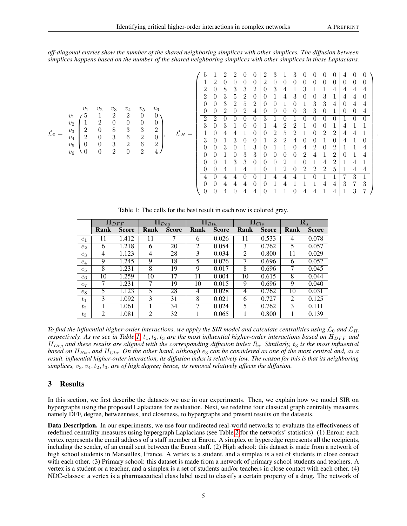.

*off-diagonal entries show the number of the shared neighboring simplices with other simplices. The diffusion between simplices happens based on the number of the shared neighboring simplices with other simplices in these Laplacians.*

L<sup>0</sup> = v<sup>1</sup> v<sup>2</sup> v<sup>3</sup> v<sup>4</sup> v<sup>5</sup> v<sup>6</sup> v<sup>1</sup> 5 1 2 2 0 0 v<sup>2</sup> 1 2 0 0 0 0 v<sup>3</sup> 2 0 8 3 3 2 v<sup>4</sup> 2 0 3 6 2 0 v<sup>5</sup> 0 0 3 2 6 2 v<sup>6</sup> 0 0 2 0 2 4 , L<sup>H</sup> = 5 1 2 2 0 0 2 3 1 3 0 0 0 0 4 0 0 1 2 0 0 0 0 2 0 0 0 0 0 0 0 0 0 0 2 0 8 3 3 2 0 3 4 1 3 1 1 4 4 4 4 2 0 3 5 2 0 0 1 4 3 0 0 3 1 4 4 0 0 0 3 2 5 2 0 0 1 0 1 3 3 4 0 4 4 0 0 2 0 2 4 0 0 0 0 3 3 0 1 0 0 4 2 2 0 0 0 0 3 1 0 1 0 0 0 0 1 0 0 3 0 3 1 0 0 1 4 2 2 1 0 0 1 4 1 1 1 0 4 4 1 0 0 2 5 2 1 0 2 2 4 4 1 3 0 1 3 0 0 1 2 2 4 0 0 1 0 4 1 0 0 0 3 0 1 3 0 1 1 0 4 2 0 2 1 1 4 0 0 1 0 3 3 0 0 0 0 2 4 1 2 0 1 4 0 0 1 3 3 0 0 0 2 1 0 1 4 2 1 4 1 0 0 4 1 4 1 0 1 2 0 2 2 2 5 1 4 4 4 0 4 4 0 0 1 4 4 4 1 0 1 1 7 3 1 0 0 4 4 4 0 0 1 4 1 1 1 4 4 3 7 3 0 0 4 0 4 4 0 1 1 0 4 4 1 4 1 3 7 

<span id="page-4-0"></span>Table 1: The cells for the best result in each row is colored gray.

|       | $\mathbf{H}_{DFF}$ |              | ${\bf H}_{Deg}$ |              | $\mathbf{H}_{Btw}$ |              | $\mathbf{H}_{Cls}$ |              | $\mathbf{R}_s$ |              |
|-------|--------------------|--------------|-----------------|--------------|--------------------|--------------|--------------------|--------------|----------------|--------------|
|       | Rank               | <b>Score</b> | Rank            | <b>Score</b> | Rank               | <b>Score</b> | Rank               | <b>Score</b> | Rank           | <b>Score</b> |
| $e_1$ |                    | 1.412        | 11              |              | 6                  | 0.026        | 11                 | 0.533        | 4              | 0.078        |
| $e_2$ | 6                  | 1.218        | 6               | 20           | 2                  | 0.054        | 3                  | 0.762        | 5              | 0.057        |
| $e_3$ | 4                  | 1.123        | $\overline{4}$  | 28           | 3                  | 0.034        | 2                  | 0.800        | 11             | 0.029        |
| $e_4$ | 9                  | 1.245        | 9               | 18           | 5.                 | 0.026        |                    | 0.696        | 6              | 0.052        |
| $e_5$ | 8                  | 1.231        | 8               | 19           | 9                  | 0.017        | 8                  | 0.696        | 7              | 0.045        |
| $e_6$ | 10                 | 1.259        | 10              | 17           | 11                 | 0.004        | 10                 | 0.615        | 8              | 0.044        |
| $e_7$ |                    | 1.231        |                 | 19           | 10                 | 0.015        | 9                  | 0.696        | 9              | 0.040        |
| $e_8$ | 5                  | 1.123        | 5               | 28           | 4                  | 0.028        | 4                  | 0.762        | 10             | 0.031        |
| $t_1$ | 3                  | 1.092        | 3               | 31           | 8                  | 0.021        | 6                  | 0.727        | 2              | 0.125        |
| $t_2$ |                    | 1.061        |                 | 34           |                    | 0.024        | 5                  | 0.762        | 3              | 0.111        |
| $t_3$ | 2                  | 1.081        | $\mathfrak{D}$  | 32           |                    | 0.065        |                    | 0.800        |                | 0.139        |

*To find the influential higher-order interactions, we apply the SIR model and calculate centralities using*  $\mathcal{L}_0$  *and*  $\mathcal{L}_H$ *, respectively. As we see in Table [1,](#page-4-0)*  $t_1, t_2, t_3$  *are the most influential higher-order interactions based on*  $H_{DFF}$  *and*  $H_{Deg}$  and these results are aligned with the corresponding diffusion index  $R_s$ . Similarly,  $t_3$  is the most influential *based on* H<sub>Btw</sub> and H<sub>Cls</sub>. On the other hand, although  $e_3$  can be considered as one of the most central and, as a *result, influential higher-order interaction, its diffusion index is relatively low. The reason for this is that its neighboring simplices,*  $v_3$ ,  $v_4$ ,  $t_2$ ,  $t_3$ , are of high degree; hence, its removal relatively affects the diffusion.

# 3 Results

In this section, we first describe the datasets we use in our experiments. Then, we explain how we model SIR on hypergraphs using the proposed Laplacians for evaluation. Next, we redefine four classical graph centrality measures, namely DFF, degree, betweenness, and closeness, to hypergraphs and present results on the datasets.

Data Description. In our experiments, we use four undirected real-world networks to evaluate the effectiveness of redefined centrality measures using hypergraph Laplacians (see Table [2](#page-5-0) for the networks' statistics). (1) Enron: each vertex represents the email address of a staff member at Enron. A simplex or hyperedge represents all the recipients, including the sender, of an email sent between the Enron staff. (2) High school: this dataset is made from a network of high school students in Marseilles, France. A vertex is a student, and a simplex is a set of students in close contact with each other. (3) Primary school: this dataset is made from a network of primary school students and teachers. A vertex is a student or a teacher, and a simplex is a set of students and/or teachers in close contact with each other. (4) NDC-classes: a vertex is a pharmaceutical class label used to classify a certain property of a drug. The network of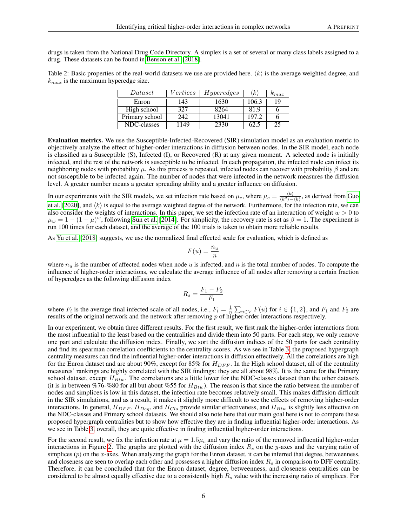drugs is taken from the National Drug Code Directory. A simplex is a set of several or many class labels assigned to a drug. These datasets can be found in [Benson et al.](#page-9-8) [\[2018\]](#page-9-8).

<span id="page-5-0"></span>Table 2: Basic properties of the real-world datasets we use are provided here.  $\langle k \rangle$  is the average weighted degree, and  $k_{max}$  is the maximum hyperedge size.

| $\it Data set$ | Vertices | Hyperedges | 'k    | $\kappa_{max}$ |
|----------------|----------|------------|-------|----------------|
| Enron          | 143      | 1630       | 106.3 | 19             |
| High school    | 327      | 8264       | 81.9  |                |
| Primary school | 242      | 13041      | 197.2 |                |
| NDC-classes    | 1149     | 2330       |       | 25             |

Evaluation metrics. We use the Susceptible-Infected-Recovered (SIR) simulation model as an evaluation metric to objectively analyze the effect of higher-order interactions in diffusion between nodes. In the SIR model, each node is classified as a Susceptible (S), Infected (I), or Recovered (R) at any given moment. A selected node is initially infected, and the rest of the network is susceptible to be infected. In each propagation, the infected node can infect its neighboring nodes with probability  $\mu$ . As this process is repeated, infected nodes can recover with probability  $\beta$  and are not susceptible to be infected again. The number of nodes that were infected in the network measures the diffusion level. A greater number means a greater spreading ability and a greater influence on diffusion.

In our experiments with the SIR models, we set infection rate based on  $\mu_c$ , where  $\mu_c = \frac{\langle k \rangle}{\langle k^2 \rangle - \langle k \rangle}$ , as derived from [Guo](#page-9-9) [et al.](#page-9-9) [\[2020\]](#page-9-9), and  $\langle k \rangle$  is equal to the average weighted degree of the network. Furthermore, for the infection rate, we can also consider the weights of interactions. In this paper, we set the infection rate of an interaction of weight  $w > 0$  to  $\mu_w = 1 - (1 - \mu)^w$ , following [Sun et al.](#page-9-10) [\[2014\]](#page-9-10). For simplicity, the recovery rate is set as  $\beta = 1$ . The experiment is run 100 times for each dataset, and the average of the 100 trials is taken to obtain more reliable results.

As [Yu et al.](#page-8-17) [\[2018\]](#page-8-17) suggests, we use the normalized final effected scale for evaluation, which is defined as

$$
F(u) = \frac{n_u}{n}
$$

where  $n_u$  is the number of affected nodes when node u is infected, and n is the total number of nodes. To compute the influence of higher-order interactions, we calculate the average influence of all nodes after removing a certain fraction of hyperedges as the following diffusion index

$$
R_s = \frac{F_1 - F_2}{F_1}
$$

where  $F_i$  is the average final infected scale of all nodes, i.e.,  $F_i = \frac{1}{n} \sum_{u \in V} F(u)$  for  $i \in \{1, 2\}$ , and  $F_1$  and  $F_2$  are results of the original network and the network after removing  $p$  of higher-order interactions respectively.

In our experiment, we obtain three different results. For the first result, we first rank the higher-order interactions from the most influential to the least based on the centralities and divide them into 50 parts. For each step, we only remove one part and calculate the diffusion index. Finally, we sort the diffusion indices of the 50 parts for each centrality and find its spearman correlation coefficients to the centrality scores. As we see in Table [3,](#page-6-0) the proposed hypergraph centrality measures can find the influential higher-order interactions in diffusion effectively. All the correlations are high for the Enron dataset and are about 90%, except for 85% for  $H_{DFF}$ . In the High school dataset, all of the centrality measures' rankings are highly correlated with the SIR findings: they are all about 98%. It is the same for the Primary school dataset, except  $H_{Btw}$ . The correlations are a little lower for the NDC-classes dataset than the other datasets (it is in between %76-%80 for all but about %55 for  $H_{Btw}$ ). The reason is that since the ratio between the number of nodes and simplices is low in this dataset, the infection rate becomes relatively small. This makes diffusion difficult in the SIR simulations, and as a result, it makes it slightly more difficult to see the effects of removing higher-order interactions. In general,  $H_{DFF}$ ,  $H_{Deq}$ , and  $H_{Cls}$  provide similar effectiveness, and  $H_{Btw}$  is slightly less effective on the NDC-classes and Primary school datasets. We should also note here that our main goal here is not to compare these proposed hypergraph centralities but to show how effective they are in finding influential higher-order interactions. As we see in Table [3,](#page-6-0) overall, they are quite effective in finding influential higher-order interactions.

For the second result, we fix the infection rate at  $\mu = 1.5\mu_c$  and vary the ratio of the removed influential higher-order interactions in Figure [2.](#page-6-1) The graphs are plotted with the diffusion index  $R_s$  on the y-axes and the varying ratio of simplices  $(p)$  on the x-axes. When analyzing the graph for the Enron dataset, it can be inferred that degree, betweenness, and closeness are seen to overlap each other and possesses a higher diffusion index  $R<sub>s</sub>$  in comparison to DFF centrality. Therefore, it can be concluded that for the Enron dataset, degree, betweenness, and closeness centralities can be considered to be almost equally effective due to a consistently high  $R<sub>s</sub>$  value with the increasing ratio of simplices. For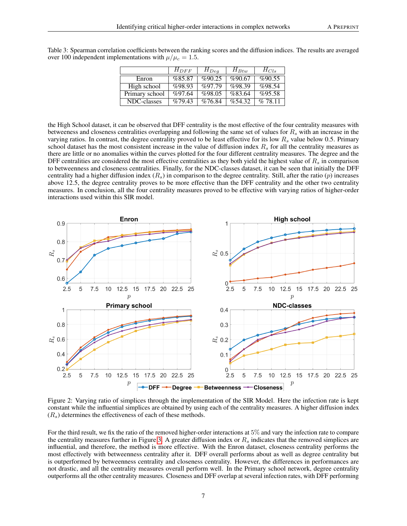<span id="page-6-0"></span>Table 3: Spearman correlation coefficients between the ranking scores and the diffusion indices. The results are averaged over 100 independent implementations with  $\mu/\mu_c = 1.5$ .

|                | $H_{DFF}$ | $H_{Deg}$ | $H_{Btw}$ | $H_{Cls}$  |
|----------------|-----------|-----------|-----------|------------|
| Enron          | %85.87    | %90.25    | %90.67    | %90.55     |
| High school    | %98.93    | %97.79    | %98.39    | %98.54     |
| Primary school | %97.64    | %98.05    | %83.64    | %95.58     |
| NDC-classes    | %79.43    | %76.84    | %54.32    | $\%$ 78 11 |

the High School dataset, it can be observed that DFF centrality is the most effective of the four centrality measures with betweeness and closeness centralities overlapping and following the same set of values for  $R_s$  with an increase in the varying ratios. In contrast, the degree centrality proved to be least effective for its low  $R_s$  value below 0.5. Primary school dataset has the most consistent increase in the value of diffusion index  $R_s$  for all the centrality measures as there are little or no anomalies within the curves plotted for the four different centrality measures. The degree and the DFF centralities are considered the most effective centralities as they both yield the highest value of  $R_s$  in comparison to betweenness and closeness centralities. Finally, for the NDC-classes dataset, it can be seen that initially the DFF centrality had a higher diffusion index  $(R<sub>s</sub>)$  in comparison to the degree centrality. Still, after the ratio  $(p)$  increases above 12.5, the degree centrality proves to be more effective than the DFF centrality and the other two centrality measures. In conclusion, all the four centrality measures proved to be effective with varying ratios of higher-order interactions used within this SIR model.



<span id="page-6-1"></span>Figure 2: Varying ratio of simplices through the implementation of the SIR Model. Here the infection rate is kept constant while the influential simplices are obtained by using each of the centrality measures. A higher diffusion index  $(R<sub>s</sub>)$  determines the effectiveness of each of these methods.

For the third result, we fix the ratio of the removed higher-order interactions at 5% and vary the infection rate to compare the centrality measures further in Figure [3.](#page-7-0) A greater diffusion index or  $R_s$  indicates that the removed simplices are influential, and therefore, the method is more effective. With the Enron dataset, closeness centrality performs the most effectively with betweenness centrality after it. DFF overall performs about as well as degree centrality but is outperformed by betweenness centrality and closeness centrality. However, the differences in performances are not drastic, and all the centrality measures overall perform well. In the Primary school network, degree centrality outperforms all the other centrality measures. Closeness and DFF overlap at several infection rates, with DFF performing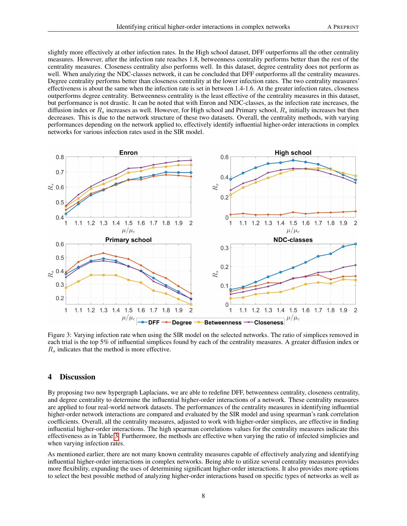slightly more effectively at other infection rates. In the High school dataset, DFF outperforms all the other centrality measures. However, after the infection rate reaches 1.8, betweenness centrality performs better than the rest of the centrality measures. Closeness centrality also performs well. In this dataset, degree centrality does not perform as well. When analyzing the NDC-classes network, it can be concluded that DFF outperforms all the centrality measures. Degree centrality performs better than closeness centrality at the lower infection rates. The two centrality measures' effectiveness is about the same when the infection rate is set in between 1.4-1.6. At the greater infection rates, closeness outperforms degree centrality. Betweenness centrality is the least effective of the centrality measures in this dataset, but performance is not drastic. It can be noted that with Enron and NDC-classes, as the infection rate increases, the diffusion index or  $R_s$  increases as well. However, for High school and Primary school,  $R_s$  initially increases but then decreases. This is due to the network structure of these two datasets. Overall, the centrality methods, with varying performances depending on the network applied to, effectively identify influential higher-order interactions in complex networks for various infection rates used in the SIR model.



<span id="page-7-0"></span>Figure 3: Varying infection rate when using the SIR model on the selected networks. The ratio of simplices removed in each trial is the top 5% of influential simplices found by each of the centrality measures. A greater diffusion index or  $R_s$  indicates that the method is more effective.

## 4 Discussion

By proposing two new hypergraph Laplacians, we are able to redefine DFF, betweenness centrality, closeness centrality, and degree centrality to determine the influential higher-order interactions of a network. These centrality measures are applied to four real-world network datasets. The performances of the centrality measures in identifying influential higher-order network interactions are compared and evaluated by the SIR model and using spearman's rank correlation coefficients. Overall, all the centrality measures, adjusted to work with higher-order simplices, are effective in finding influential higher-order interactions. The high spearman correlations values for the centrality measures indicate this effectiveness as in Table [3.](#page-6-0) Furthermore, the methods are effective when varying the ratio of infected simplicies and when varying infection rates.

As mentioned earlier, there are not many known centrality measures capable of effectively analyzing and identifying influential higher-order interactions in complex networks. Being able to utilize several centrality measures provides more flexibility, expanding the uses of determining significant higher-order interactions. It also provides more options to select the best possible method of analyzing higher-order interactions based on specific types of networks as well as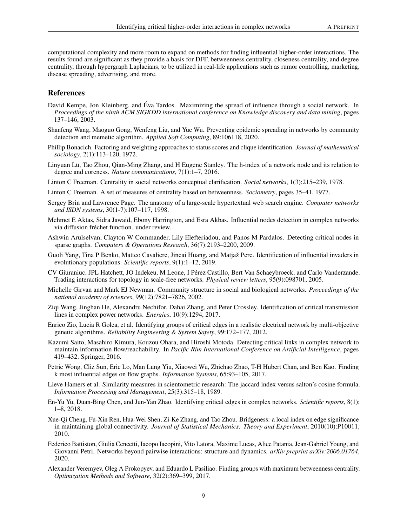computational complexity and more room to expand on methods for finding influential higher-order interactions. The results found are significant as they provide a basis for DFF, betweenness centrality, closeness centrality, and degree centrality, through hypergraph Laplacians, to be utilized in real-life applications such as rumor controlling, marketing, disease spreading, advertising, and more.

## References

- <span id="page-8-0"></span>David Kempe, Jon Kleinberg, and Éva Tardos. Maximizing the spread of influence through a social network. In *Proceedings of the ninth ACM SIGKDD international conference on Knowledge discovery and data mining*, pages 137–146, 2003.
- <span id="page-8-1"></span>Shanfeng Wang, Maoguo Gong, Wenfeng Liu, and Yue Wu. Preventing epidemic spreading in networks by community detection and memetic algorithm. *Applied Soft Computing*, 89:106118, 2020.
- <span id="page-8-2"></span>Phillip Bonacich. Factoring and weighting approaches to status scores and clique identification. *Journal of mathematical sociology*, 2(1):113–120, 1972.
- <span id="page-8-3"></span>Linyuan Lü, Tao Zhou, Qian-Ming Zhang, and H Eugene Stanley. The h-index of a network node and its relation to degree and coreness. *Nature communications*, 7(1):1–7, 2016.
- <span id="page-8-4"></span>Linton C Freeman. Centrality in social networks conceptual clarification. *Social networks*, 1(3):215–239, 1978.
- <span id="page-8-5"></span>Linton C Freeman. A set of measures of centrality based on betweenness. *Sociometry*, pages 35–41, 1977.
- <span id="page-8-6"></span>Sergey Brin and Lawrence Page. The anatomy of a large-scale hypertextual web search engine. *Computer networks and ISDN systems*, 30(1-7):107–117, 1998.
- <span id="page-8-7"></span>Mehmet E Aktas, Sidra Jawaid, Ebony Harrington, and Esra Akbas. Influential nodes detection in complex networks via diffusion fréchet function. under review.
- <span id="page-8-8"></span>Ashwin Arulselvan, Clayton W Commander, Lily Elefteriadou, and Panos M Pardalos. Detecting critical nodes in sparse graphs. *Computers & Operations Research*, 36(7):2193–2200, 2009.
- <span id="page-8-9"></span>Guoli Yang, Tina P Benko, Matteo Cavaliere, Jincai Huang, and Matjaž Perc. Identification of influential invaders in evolutionary populations. *Scientific reports*, 9(1):1–12, 2019.
- <span id="page-8-10"></span>CV Giuraniuc, JPL Hatchett, JO Indekeu, M Leone, I Pérez Castillo, Bert Van Schaeybroeck, and Carlo Vanderzande. Trading interactions for topology in scale-free networks. *Physical review letters*, 95(9):098701, 2005.
- <span id="page-8-11"></span>Michelle Girvan and Mark EJ Newman. Community structure in social and biological networks. *Proceedings of the national academy of sciences*, 99(12):7821–7826, 2002.
- <span id="page-8-12"></span>Ziqi Wang, Jinghan He, Alexandru Nechifor, Dahai Zhang, and Peter Crossley. Identification of critical transmission lines in complex power networks. *Energies*, 10(9):1294, 2017.
- <span id="page-8-13"></span>Enrico Zio, Lucia R Golea, et al. Identifying groups of critical edges in a realistic electrical network by multi-objective genetic algorithms. *Reliability Engineering & System Safety*, 99:172–177, 2012.
- <span id="page-8-14"></span>Kazumi Saito, Masahiro Kimura, Kouzou Ohara, and Hiroshi Motoda. Detecting critical links in complex network to maintain information flow/reachability. In *Pacific Rim International Conference on Artificial Intelligence*, pages 419–432. Springer, 2016.
- <span id="page-8-15"></span>Petrie Wong, Cliz Sun, Eric Lo, Man Lung Yiu, Xiaowei Wu, Zhichao Zhao, T-H Hubert Chan, and Ben Kao. Finding k most influential edges on flow graphs. *Information Systems*, 65:93–105, 2017.
- <span id="page-8-16"></span>Lieve Hamers et al. Similarity measures in scientometric research: The jaccard index versus salton's cosine formula. *Information Processing and Management*, 25(3):315–18, 1989.
- <span id="page-8-17"></span>En-Yu Yu, Duan-Bing Chen, and Jun-Yan Zhao. Identifying critical edges in complex networks. *Scientific reports*, 8(1): 1–8, 2018.
- <span id="page-8-18"></span>Xue-Qi Cheng, Fu-Xin Ren, Hua-Wei Shen, Zi-Ke Zhang, and Tao Zhou. Bridgeness: a local index on edge significance in maintaining global connectivity. *Journal of Statistical Mechanics: Theory and Experiment*, 2010(10):P10011, 2010.
- <span id="page-8-19"></span>Federico Battiston, Giulia Cencetti, Iacopo Iacopini, Vito Latora, Maxime Lucas, Alice Patania, Jean-Gabriel Young, and Giovanni Petri. Networks beyond pairwise interactions: structure and dynamics. *arXiv preprint arXiv:2006.01764*, 2020.
- <span id="page-8-20"></span>Alexander Veremyev, Oleg A Prokopyev, and Eduardo L Pasiliao. Finding groups with maximum betweenness centrality. *Optimization Methods and Software*, 32(2):369–399, 2017.